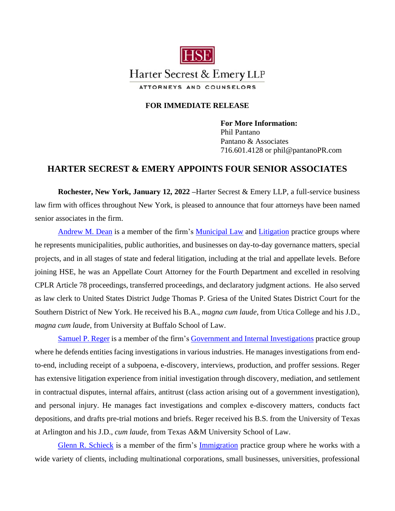

## **FOR IMMEDIATE RELEASE**

**For More Information:** Phil Pantano Pantano & Associates 716.601.4128 or phil@pantanoPR.com

## **HARTER SECREST & EMERY APPOINTS FOUR SENIOR ASSOCIATES**

**Rochester, New York, January 12, 2022 –**Harter Secrest & Emery LLP, a full-service business law firm with offices throughout New York, is pleased to announce that four attorneys have been named senior associates in the firm.

[Andrew M. Dean](https://www.hselaw.com/people/302-andrew-m-dean) is a member of the firm's [Municipal Law](https://www.hselaw.com/practice-areas/municipal-law) and [Litigation](https://www.hselaw.com/practice-areas/litigation) practice groups where he represents municipalities, public authorities, and businesses on day-to-day governance matters, special projects, and in all stages of state and federal litigation, including at the trial and appellate levels. Before joining HSE, he was an Appellate Court Attorney for the Fourth Department and excelled in resolving CPLR Article 78 proceedings, transferred proceedings, and declaratory judgment actions. He also served as law clerk to United States District Judge Thomas P. Griesa of the United States District Court for the Southern District of New York. He received his B.A., *magna cum laude*, from Utica College and his J.D., *magna cum laude*, from University at Buffalo School of Law.

[Samuel P. Reger](https://www.hselaw.com/people/310-samuel-p-reger) is a member of the firm's [Government and Internal Investigations](https://www.hselaw.com/practice-areas/government-and-internal-investigations) practice group where he defends entities facing investigations in various industries. He manages investigations from endto-end, including receipt of a subpoena, e-discovery, interviews, production, and proffer sessions. Reger has extensive litigation experience from initial investigation through discovery, mediation, and settlement in contractual disputes, internal affairs, antitrust (class action arising out of a government investigation), and personal injury. He manages fact investigations and complex e-discovery matters, conducts fact depositions, and drafts pre-trial motions and briefs. Reger received his B.S. from the University of Texas at Arlington and his J.D., *cum laude*, from Texas A&M University School of Law.

[Glenn R. Schieck](https://www.hselaw.com/people/214-glenn-r-schieck) is a member of the firm's [Immigration](https://www.hselaw.com/practice-areas/immigration) practice group where he works with a wide variety of clients, including multinational corporations, small businesses, universities, professional